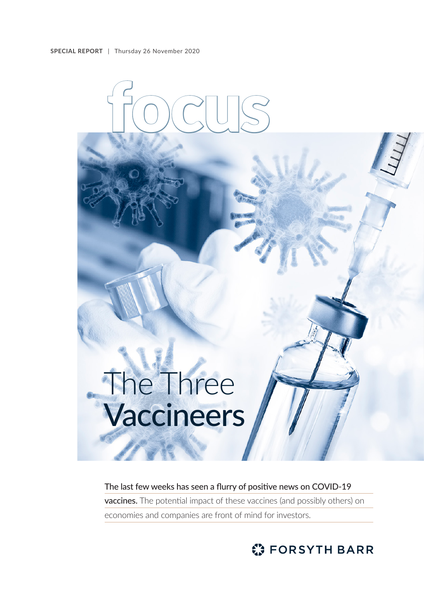

The last few weeks has seen a flurry of positive news on COVID-19 vaccines. The potential impact of these vaccines (and possibly others) on economies and companies are front of mind for investors.

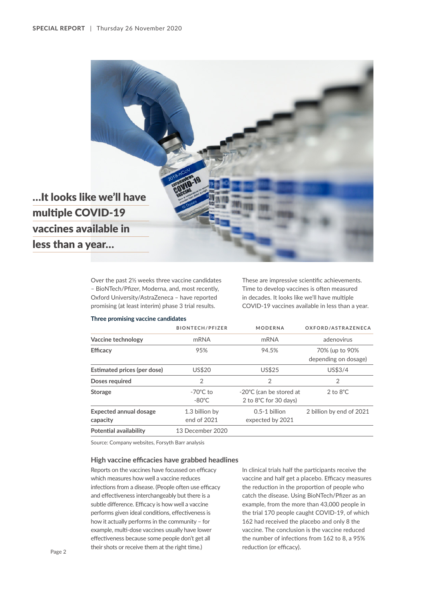

Over the past 2½ weeks three vaccine candidates – BioNTech/Pfizer, Moderna, and, most recently, Oxford University/AstraZeneca – have reported promising (at least interim) phase 3 trial results.

These are impressive scientific achievements. Time to develop vaccines is often measured in decades. It looks like we'll have multiple COVID-19 vaccines available in less than a year.

#### **Three promising vaccine candidates**

|                                           | <b>BIONTECH/PFIZER</b>                | <b>MODERNA</b>                                   | OXFORD/ASTRAZENECA                     |
|-------------------------------------------|---------------------------------------|--------------------------------------------------|----------------------------------------|
| Vaccine technology                        | mRNA                                  | mRNA                                             | adenovirus                             |
| <b>Efficacy</b>                           | 95%                                   | 94.5%                                            | 70% (up to 90%<br>depending on dosage) |
| <b>Estimated prices (per dose)</b>        | US\$20                                | US\$25                                           | US\$3/4                                |
| Doses required                            | $\overline{2}$                        | $\overline{2}$                                   | 2                                      |
| <b>Storage</b>                            | $-70^{\circ}$ C to<br>$-80^{\circ}$ C | -20°C (can be stored at<br>2 to 8°C for 30 days) | $2$ to $8^{\circ}$ C                   |
| <b>Expected annual dosage</b><br>capacity | 1.3 billion by<br>end of 2021         | $0.5-1$ billion<br>expected by 2021              | 2 billion by end of 2021               |
| <b>Potential availability</b>             | 13 December 2020                      |                                                  |                                        |

Source: Company websites, Forsyth Barr analysis

### **High vaccine efficacies have grabbed headlines**

Reports on the vaccines have focussed on efficacy which measures how well a vaccine reduces infections from a disease. (People often use efficacy and effectiveness interchangeably but there is a subtle difference. Efficacy is how well a vaccine performs given ideal conditions, effectiveness is how it actually performs in the community – for example, multi-dose vaccines usually have lower effectiveness because some people don't get all their shots or receive them at the right time.)

In clinical trials half the participants receive the vaccine and half get a placebo. Efficacy measures the reduction in the proportion of people who catch the disease. Using BioNTech/Pfizer as an example, from the more than 43,000 people in the trial 170 people caught COVID-19, of which 162 had received the placebo and only 8 the vaccine. The conclusion is the vaccine reduced the number of infections from 162 to 8, a 95% reduction (or efficacy).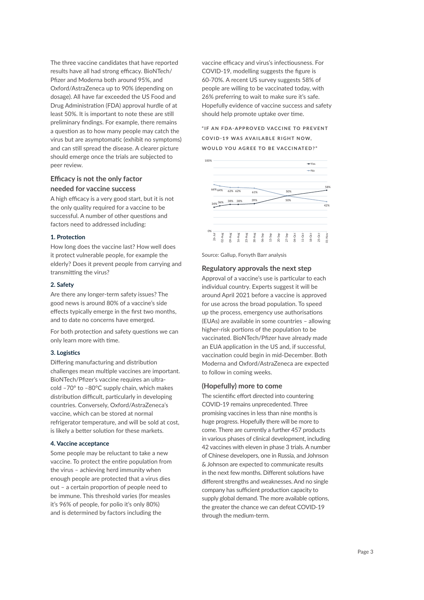The three vaccine candidates that have reported results have all had strong efficacy. BioNTech/ Pfizer and Moderna both around 95%, and Oxford/AstraZeneca up to 90% (depending on dosage). All have far exceeded the US Food and Drug Administration (FDA) approval hurdle of at least 50%. It is important to note these are still preliminary findings. For example, there remains a question as to how many people may catch the virus but are asymptomatic (exhibit no symptoms) and can still spread the disease. A clearer picture should emerge once the trials are subjected to peer review.

# **Efficacy is not the only factor needed for vaccine success**

A high efficacy is a very good start, but it is not the only quality required for a vaccine to be successful. A number of other questions and factors need to addressed including:

### **1. Protection**

How long does the vaccine last? How well does it protect vulnerable people, for example the elderly? Does it prevent people from carrying and transmitting the virus?

### **2. Safety**

Are there any longer-term safety issues? The good news is around 80% of a vaccine's side effects typically emerge in the first two months, and to date no concerns have emerged.

For both protection and safety questions we can only learn more with time.

#### **3. Logistics**

Differing manufacturing and distribution challenges mean multiple vaccines are important. BioNTech/Pfizer's vaccine requires an ultracold –70° to –80°C supply chain, which makes distribution difficult, particularly in developing countries. Conversely, Oxford/AstraZeneca's vaccine, which can be stored at normal refrigerator temperature, and will be sold at cost, is likely a better solution for these markets.

#### **4. Vaccine acceptance**

Some people may be reluctant to take a new vaccine. To protect the entire population from the virus – achieving herd immunity when enough people are protected that a virus dies out – a certain proportion of people need to be immune. This threshold varies (for measles it's 96% of people, for polio it's only 80%) and is determined by factors including the

vaccine efficacy and virus's infectiousness. For COVID-19, modelling suggests the figure is 60-70%. A recent US survey suggests 58% of people are willing to be vaccinated today, with 26% preferring to wait to make sure it's safe. Hopefully evidence of vaccine success and safety should help promote uptake over time.

# "IF AN FDA-APPROVED VACCINE TO PREVENT **COVID-19 WAS AVAILABLE RIGHT NOW. WOULD YOU AGREE TO BE VACCINATED?"**



Source: Gallup, Forsyth Barr analysis

## **Regulatory approvals the next step**

Approval of a vaccine's use is particular to each individual country. Experts suggest it will be around April 2021 before a vaccine is approved for use across the broad population. To speed up the process, emergency use authorisations (EUAs) are available in some countries – allowing higher-risk portions of the population to be vaccinated. BioNTech/Pfizer have already made an EUA application in the US and, if successful, vaccination could begin in mid-December. Both Moderna and Oxford/AstraZeneca are expected to follow in coming weeks.

## **(Hopefully) more to come**

The scientific effort directed into countering COVID-19 remains unprecedented. Three promising vaccines in less than nine months is huge progress. Hopefully there will be more to come. There are currently a further 457 products in various phases of clinical development, including 42 vaccines with eleven in phase 3 trials. A number of Chinese developers, one in Russia, and Johnson & Johnson are expected to communicate results in the next few months. Different solutions have different strengths and weaknesses. And no single company has sufficient production capacity to supply global demand. The more available options, the greater the chance we can defeat COVID-19 through the medium-term.